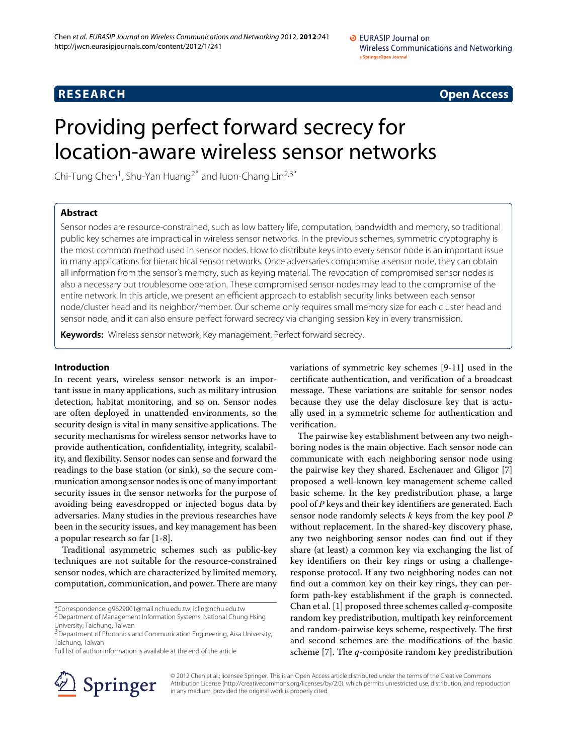# **RESEARCH Open Access**

# Providing perfect forward secrecy for location-aware wireless sensor networks

Chi-Tung Chen<sup>1</sup>, Shu-Yan Huang<sup>2\*</sup> and luon-Chang Lin<sup>2,3\*</sup>

# **Abstract**

Sensor nodes are resource-constrained, such as low battery life, computation, bandwidth and memory, so traditional public key schemes are impractical in wireless sensor networks. In the previous schemes, symmetric cryptography is the most common method used in sensor nodes. How to distribute keys into every sensor node is an important issue in many applications for hierarchical sensor networks. Once adversaries compromise a sensor node, they can obtain all information from the sensor's memory, such as keying material. The revocation of compromised sensor nodes is also a necessary but troublesome operation. These compromised sensor nodes may lead to the compromise of the entire network. In this article, we present an efficient approach to establish security links between each sensor node/cluster head and its neighbor/member. Our scheme only requires small memory size for each cluster head and sensor node, and it can also ensure perfect forward secrecy via changing session key in every transmission.

**Keywords:** Wireless sensor network, Key management, Perfect forward secrecy.

#### **Introduction**

In recent years, wireless sensor network is an important issue in many applications, such as military intrusion detection, habitat monitoring, and so on. Sensor nodes are often deployed in unattended environments, so the security design is vital in many sensitive applications. The security mechanisms for wireless sensor networks have to provide authentication, confidentiality, integrity, scalability, and flexibility. Sensor nodes can sense and forward the readings to the base station (or sink), so the secure communication among sensor nodes is one of many important security issues in the sensor networks for the purpose of avoiding being eavesdropped or injected bogus data by adversaries. Many studies in the previous researches have been in the security issues, and key management has been a popular research so far [\[1-](#page-8-0)[8\]](#page-9-0).

Traditional asymmetric schemes such as public-key techniques are not suitable for the resource-constrained sensor nodes, which are characterized by limited memory, computation, communication, and power. There are many

\*Correspondence: g9629001@mail.nchu.edu.tw; iclin@nchu.edu.tw

2Department of Management Information Systems, National Chung Hsing University, Taichung, Taiwan

Full list of author information is available at the end of the article



variations of symmetric key schemes [\[9-](#page-9-1)[11\]](#page-9-2) used in the certificate authentication, and verification of a broadcast message. These variations are suitable for sensor nodes because they use the delay disclosure key that is actually used in a symmetric scheme for authentication and verification.

The pairwise key establishment between any two neighboring nodes is the main objective. Each sensor node can communicate with each neighboring sensor node using the pairwise key they shared. Eschenauer and Gligor [\[7\]](#page-9-3) proposed a well-known key management scheme called basic scheme. In the key predistribution phase, a large pool of *P* keys and their key identifiers are generated. Each sensor node randomly selects *k* keys from the key pool *P* without replacement. In the shared-key discovery phase, any two neighboring sensor nodes can find out if they share (at least) a common key via exchanging the list of key identifiers on their key rings or using a challengeresponse protocol. If any two neighboring nodes can not find out a common key on their key rings, they can perform path-key establishment if the graph is connected. Chan et al. [\[1\]](#page-8-0) proposed three schemes called *q*-composite random key predistribution, multipath key reinforcement and random-pairwise keys scheme, respectively. The first and second schemes are the modifications of the basic scheme [\[7\]](#page-9-3). The *q*-composite random key predistribution

© 2012 Chen et al.; licensee Springer. This is an Open Access article distributed under the terms of the Creative Commons Attribution License (http://creativecommons.org/licenses/by/2.0), which permits unrestricted use, distribution, and reproduction in any medium, provided the original work is properly cited.

<sup>&</sup>lt;sup>3</sup> Department of Photonics and Communication Engineering, Aisa University, Taichung, Taiwan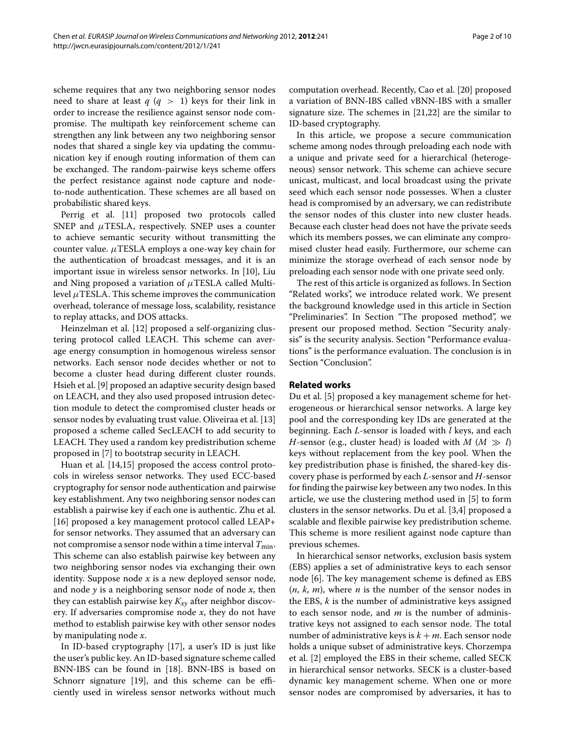scheme requires that any two neighboring sensor nodes need to share at least *q* (*q >* 1) keys for their link in order to increase the resilience against sensor node compromise. The multipath key reinforcement scheme can strengthen any link between any two neighboring sensor nodes that shared a single key via updating the communication key if enough routing information of them can be exchanged. The random-pairwise keys scheme offers

the perfect resistance against node capture and nodeto-node authentication. These schemes are all based on probabilistic shared keys. Perrig et al. [\[11\]](#page-9-2) proposed two protocols called

SNEP and *μ*TESLA, respectively. SNEP uses a counter to achieve semantic security without transmitting the counter value. *μ*TESLA employs a one-way key chain for the authentication of broadcast messages, and it is an important issue in wireless sensor networks. In [\[10\]](#page-9-4), Liu and Ning proposed a variation of *μ*TESLA called Multilevel  $\mu$ TESLA. This scheme improves the communication overhead, tolerance of message loss, scalability, resistance to replay attacks, and DOS attacks.

Heinzelman et al. [\[12\]](#page-9-5) proposed a self-organizing clustering protocol called LEACH. This scheme can average energy consumption in homogenous wireless sensor networks. Each sensor node decides whether or not to become a cluster head during different cluster rounds. Hsieh et al. [\[9\]](#page-9-1) proposed an adaptive security design based on LEACH, and they also used proposed intrusion detection module to detect the compromised cluster heads or sensor nodes by evaluating trust value. Oliveiraa et al. [\[13\]](#page-9-6) proposed a scheme called SecLEACH to add security to LEACH. They used a random key predistribution scheme proposed in [\[7\]](#page-9-3) to bootstrap security in LEACH.

Huan et al. [\[14](#page-9-7)[,15\]](#page-9-8) proposed the access control protocols in wireless sensor networks. They used ECC-based cryptography for sensor node authentication and pairwise key establishment. Any two neighboring sensor nodes can establish a pairwise key if each one is authentic. Zhu et al. [\[16\]](#page-9-9) proposed a key management protocol called LEAP+ for sensor networks. They assumed that an adversary can not compromise a sensor node within a time interval  $T_{\text{min}}$ . This scheme can also establish pairwise key between any two neighboring sensor nodes via exchanging their own identity. Suppose node *x* is a new deployed sensor node, and node *y* is a neighboring sensor node of node *x*, then they can establish pairwise key  $K_{xy}$  after neighbor discovery. If adversaries compromise node *x*, they do not have method to establish pairwise key with other sensor nodes by manipulating node *x*.

In ID-based cryptography [\[17\]](#page-9-10), a user's ID is just like the user's public key. An ID-based signature scheme called BNN-IBS can be found in [\[18\]](#page-9-11). BNN-IBS is based on Schnorr signature [\[19\]](#page-9-12), and this scheme can be efficiently used in wireless sensor networks without much

computation overhead. Recently, Cao et al. [\[20\]](#page-9-13) proposed a variation of BNN-IBS called vBNN-IBS with a smaller signature size. The schemes in [\[21,](#page-9-14)[22\]](#page-9-15) are the similar to ID-based cryptography.

In this article, we propose a secure communication scheme among nodes through preloading each node with a unique and private seed for a hierarchical (heterogeneous) sensor network. This scheme can achieve secure unicast, multicast, and local broadcast using the private seed which each sensor node possesses. When a cluster head is compromised by an adversary, we can redistribute the sensor nodes of this cluster into new cluster heads. Because each cluster head does not have the private seeds which its members posses, we can eliminate any compromised cluster head easily. Furthermore, our scheme can minimize the storage overhead of each sensor node by preloading each sensor node with one private seed only.

The rest of this article is organized as follows. In Section ["Related works"](#page-1-0), we introduce related work. We present the background knowledge used in this article in Section ["Preliminaries"](#page-2-0). In Section ["The proposed method"](#page-3-0), we present our proposed method. Section "Security analysis" i[s](#page-7-0) [the](#page-7-0) [security](#page-7-0) [analysis.](#page-7-0) [Section](#page-7-0) ["](#page-7-0)Performance evaluations" is the performance evaluation. The conclusion is in Section ["Conclusion"](#page-8-1).

#### <span id="page-1-0"></span>**Related works**

Du et al. [\[5\]](#page-9-16) proposed a key management scheme for heterogeneous or hierarchical sensor networks. A large key pool and the corresponding key IDs are generated at the beginning. Each *L*-sensor is loaded with *l* keys, and each *H*-sensor (e.g., cluster head) is loaded with  $M (M \gg l)$ keys without replacement from the key pool. When the key predistribution phase is finished, the shared-key discovery phase is performed by each *L*-sensor and *H*-sensor for finding the pairwise key between any two nodes. In this article, we use the clustering method used in [\[5\]](#page-9-16) to form clusters in the sensor networks. Du et al. [\[3](#page-8-2)[,4\]](#page-8-3) proposed a scalable and flexible pairwise key predistribution scheme. This scheme is more resilient against node capture than previous schemes.

In hierarchical sensor networks, exclusion basis system (EBS) applies a set of administrative keys to each sensor node [\[6\]](#page-9-17). The key management scheme is defined as EBS (*n*, *k*, *m*), where *n* is the number of the sensor nodes in the EBS, *k* is the number of administrative keys assigned to each sensor node, and *m* is the number of administrative keys not assigned to each sensor node. The total number of administrative keys is  $k + m$ . Each sensor node holds a unique subset of administrative keys. Chorzempa et al. [\[2\]](#page-8-4) employed the EBS in their scheme, called SECK in hierarchical sensor networks. SECK is a cluster-based dynamic key management scheme. When one or more sensor nodes are compromised by adversaries, it has to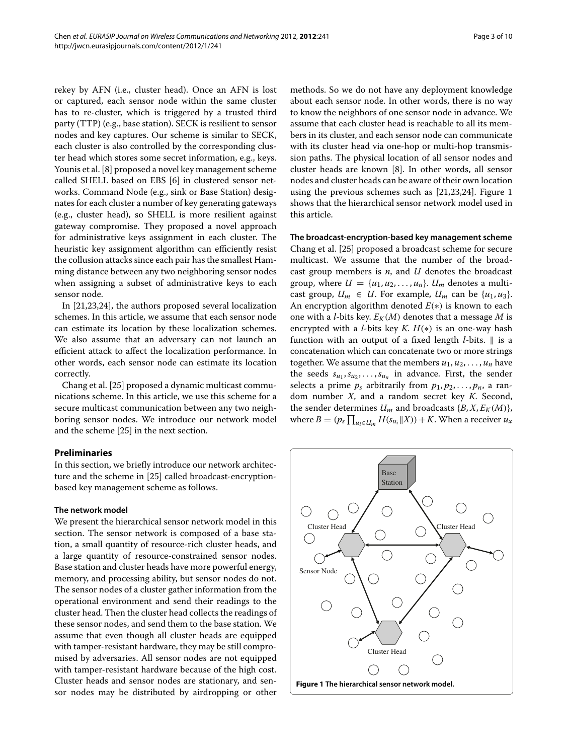rekey by AFN (i.e., cluster head). Once an AFN is lost or captured, each sensor node within the same cluster has to re-cluster, which is triggered by a trusted third party (TTP) (e.g., base station). SECK is resilient to sensor nodes and key captures. Our scheme is similar to SECK, each cluster is also controlled by the corresponding cluster head which stores some secret information, e.g., keys. Younis et al. [\[8\]](#page-9-0) proposed a novel key management scheme called SHELL based on EBS [\[6\]](#page-9-17) in clustered sensor networks. Command Node (e.g., sink or Base Station) designates for each cluster a number of key generating gateways (e.g., cluster head), so SHELL is more resilient against gateway compromise. They proposed a novel approach for administrative keys assignment in each cluster. The heuristic key assignment algorithm can efficiently resist the collusion attacks since each pair has the smallest Hamming distance between any two neighboring sensor nodes when assigning a subset of administrative keys to each sensor node.

In [\[21,](#page-9-14)[23,](#page-9-18)[24\]](#page-9-19), the authors proposed several localization schemes. In this article, we assume that each sensor node can estimate its location by these localization schemes. We also assume that an adversary can not launch an efficient attack to affect the localization performance. In other words, each sensor node can estimate its location correctly.

Chang et al. [\[25\]](#page-9-20) proposed a dynamic multicast communications scheme. In this article, we use this scheme for a secure multicast communication between any two neighboring sensor nodes. We introduce our network model and the scheme [\[25\]](#page-9-20) in the next section.

### <span id="page-2-0"></span>**Preliminaries**

In this section, we briefly introduce our network architecture and the scheme in [\[25\]](#page-9-20) called broadcast-encryptionbased key management scheme as follows.

#### **The network model**

We present the hierarchical sensor network model in this section. The sensor network is composed of a base station, a small quantity of resource-rich cluster heads, and a large quantity of resource-constrained sensor nodes. Base station and cluster heads have more powerful energy, memory, and processing ability, but sensor nodes do not. The sensor nodes of a cluster gather information from the operational environment and send their readings to the cluster head. Then the cluster head collects the readings of these sensor nodes, and send them to the base station. We assume that even though all cluster heads are equipped with tamper-resistant hardware, they may be still compromised by adversaries. All sensor nodes are not equipped with tamper-resistant hardware because of the high cost. Cluster heads and sensor nodes are stationary, and sensor nodes may be distributed by airdropping or other

methods. So we do not have any deployment knowledge about each sensor node. In other words, there is no way to know the neighbors of one sensor node in advance. We assume that each cluster head is reachable to all its members in its cluster, and each sensor node can communicate with its cluster head via one-hop or multi-hop transmission paths. The physical location of all sensor nodes and cluster heads are known [\[8\]](#page-9-0). In other words, all sensor nodes and cluster heads can be aware of their own location using the previous schemes such as [\[21,](#page-9-14)[23,](#page-9-18)[24\]](#page-9-19). Figure [1](#page-2-1) shows that the hierarchical sensor network model used in this article.

**The broadcast-encryption-based key management scheme** Chang et al. [\[25\]](#page-9-20) proposed a broadcast scheme for secure multicast. We assume that the number of the broadcast group members is *n*, and *U* denotes the broadcast group, where  $U = \{u_1, u_2, \ldots, u_n\}$ .  $U_m$  denotes a multicast group,  $U_m \in U$ . For example,  $U_m$  can be  $\{u_1, u_3\}$ . An encryption algorithm denoted *E(*∗*)* is known to each one with a *l*-bits key.  $E_K(M)$  denotes that a message M is encrypted with a *l*-bits key *K*. *H(*∗*)* is an one-way hash function with an output of a fixed length *l*-bits.  $\parallel$  is a concatenation which can concatenate two or more strings together. We assume that the members  $u_1, u_2, \ldots, u_n$  have the seeds  $s_{u_1}, s_{u_2}, \ldots, s_{u_n}$  in advance. First, the sender selects a prime  $p_s$  arbitrarily from  $p_1, p_2, \ldots, p_n$ , a random number *X*, and a random secret key *K*. Second, the sender determines  $U_m$  and broadcasts  $\{B, X, E_K(M)\},$ where  $B = (p_s \prod_{u_i \in U_m} H(s_{u_i} \| X)) + K$ . When a receiver  $u_x$ 

<span id="page-2-1"></span>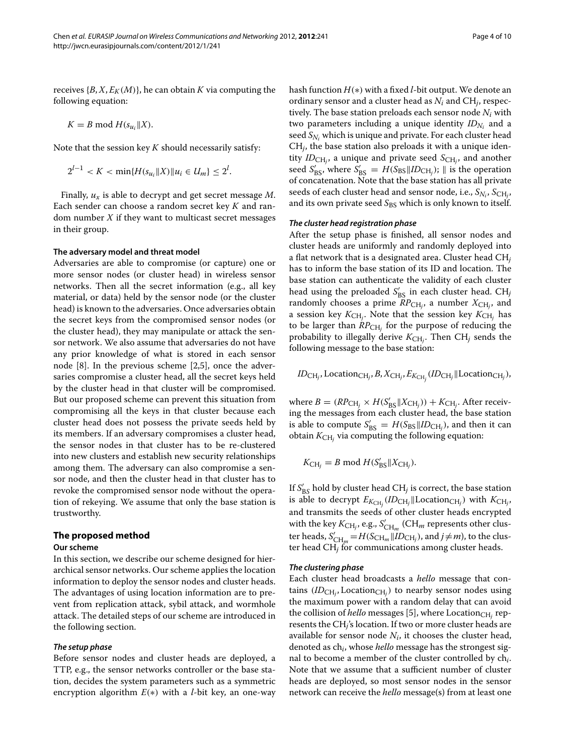receives  $\{B, X, E_K(M)\}$ , he can obtain *K* via computing the following equation:

$$
K = B \bmod H(s_{u_i} || X).
$$

Note that the session key *K* should necessarily satisfy:

$$
2^{l-1} < K < \min\{H(s_{u_i}||X)||u_i \in U_m\} \leq 2^l.
$$

Finally, *ux* is able to decrypt and get secret message *M*. Each sender can choose a random secret key *K* and random number *X* if they want to multicast secret messages in their group.

#### **The adversary model and threat model**

Adversaries are able to compromise (or capture) one or more sensor nodes (or cluster head) in wireless sensor networks. Then all the secret information (e.g., all key material, or data) held by the sensor node (or the cluster head) is known to the adversaries. Once adversaries obtain the secret keys from the compromised sensor nodes (or the cluster head), they may manipulate or attack the sensor network. We also assume that adversaries do not have any prior knowledge of what is stored in each sensor node [\[8\]](#page-9-0). In the previous scheme [\[2](#page-8-4)[,5\]](#page-9-16), once the adversaries compromise a cluster head, all the secret keys held by the cluster head in that cluster will be compromised. But our proposed scheme can prevent this situation from compromising all the keys in that cluster because each cluster head does not possess the private seeds held by its members. If an adversary compromises a cluster head, the sensor nodes in that cluster has to be re-clustered into new clusters and establish new security relationships among them. The adversary can also compromise a sensor node, and then the cluster head in that cluster has to revoke the compromised sensor node without the operation of rekeying. We assume that only the base station is trustworthy.

## <span id="page-3-0"></span>**The proposed method**

### **Our scheme**

In this section, we describe our scheme designed for hierarchical sensor networks. Our scheme applies the location information to deploy the sensor nodes and cluster heads. The advantages of using location information are to prevent from replication attack, sybil attack, and wormhole attack. The detailed steps of our scheme are introduced in the following section.

### *The setup phase*

Before sensor nodes and cluster heads are deployed, a TTP, e.g., the sensor networks controller or the base station, decides the system parameters such as a symmetric encryption algorithm *E(*∗*)* with a *l*-bit key, an one-way hash function *H(*∗*)* with a fixed *l*-bit output. We denote an ordinary sensor and a cluster head as *Ni* and CH*j*, respectively. The base station preloads each sensor node *Ni* with two parameters including a unique identity *IDNi* and a seed *SNi* which is unique and private. For each cluster head CH*j*, the base station also preloads it with a unique identity *ID*CH*<sup>j</sup>* , a unique and private seed *S*CH*<sup>j</sup>* , and another seed  $S'_{\text{BS}}$ , where  $S'_{\text{BS}} = H(S_{\text{BS}} \| ID_{\text{CH}_j})$ ;  $\|$  is the operation of concatenation. Note that the base station has all private seeds of each cluster head and sensor node, i.e.,  $S_{N_i},$   $S_{{\rm CH}_j},$ and its own private seed *S*<sub>BS</sub> which is only known to itself.

#### *The cluster head registration phase*

After the setup phase is finished, all sensor nodes and cluster heads are uniformly and randomly deployed into a flat network that is a designated area. Cluster head CH*<sup>j</sup>* has to inform the base station of its ID and location. The base station can authenticate the validity of each cluster head using the preloaded  $S_{\mathrm{BS}}'$  in each cluster head.  $\mathrm{CH}_j$ randomly chooses a prime *RP*CH*<sup>j</sup>* , a number *X*CH*<sup>j</sup>* , and a session key *K*CH*<sup>j</sup>* . Note that the session key *K*CH*<sup>j</sup>* has to be larger than *RP<sub>CH<sub>i</sub>*</sub> for the purpose of reducing the probability to illegally derive  $K_{\mathrm{CH}_j}$ . Then  $\mathrm{CH}_j$  sends the following message to the base station:

*ID*CH*<sup>j</sup>* , LocationCH*<sup>j</sup>* , *B*, *X*CH*<sup>j</sup>* , *EK*CH*<sup>j</sup> (ID*CH*<sup>j</sup>* LocationCH*<sup>j</sup> )*,

where  $B = (RP_{\text{CH}_j} \times H(S'_{\text{BS}} \| X_{\text{CH}_j})) + K_{\text{CH}_j}$ . After receiving the messages from each cluster head, the base station is able to compute  $S'_{\text{BS}} = H(S_{\text{BS}} \| ID_{\text{CH}_j}),$  and then it can obtain *K*CH*<sup>j</sup>* via computing the following equation:

$$
K_{\mathrm{CH}_j} = B \mod H(S'_{\mathrm{BS}} \| X_{\mathrm{CH}_j}).
$$

If *S* <sup>B</sup>*<sup>S</sup>* hold by cluster head CH*<sup>j</sup>* is correct, the base station is able to decrypt  $E_{K_{\text{CH}_j}}(ID_{\text{CH}_j} \| \text{Location}_{\text{CH}_j})$  with  $K_{\text{CH}_j}$ , and transmits the seeds of other cluster heads encrypted with the key  $K_{\mathrm{CH}_j}$ , e.g.,  $S'_{\mathrm{CH}_m}$  (CH $_m$  represents other clus- $\text{ter heads}, S'_{\text{CH}_m} = H(S_{\text{CH}_m} \| ID_{\text{CH}_j}), \text{and } j \neq m$ ), to the cluster head CH*<sup>j</sup>* for communications among cluster heads.

### *The clustering phase*

Each cluster head broadcasts a *hello* message that contains (*ID*<sub>CH<sub>*j*</sub></sub>, Location<sub>CH<sub>*j</sub>*</sub>) to nearby sensor nodes using</sub> the maximum power with a random delay that can avoid the collision of *hello* messages [\[5\]](#page-9-16), where Location<sub>CH</sub>, represents the CH*j*'s location. If two or more cluster heads are available for sensor node  $N_i$ , it chooses the cluster head, denoted as ch*i*, whose *hello* message has the strongest signal to become a member of the cluster controlled by ch*i*. Note that we assume that a sufficient number of cluster heads are deployed, so most sensor nodes in the sensor network can receive the *hello* message(s) from at least one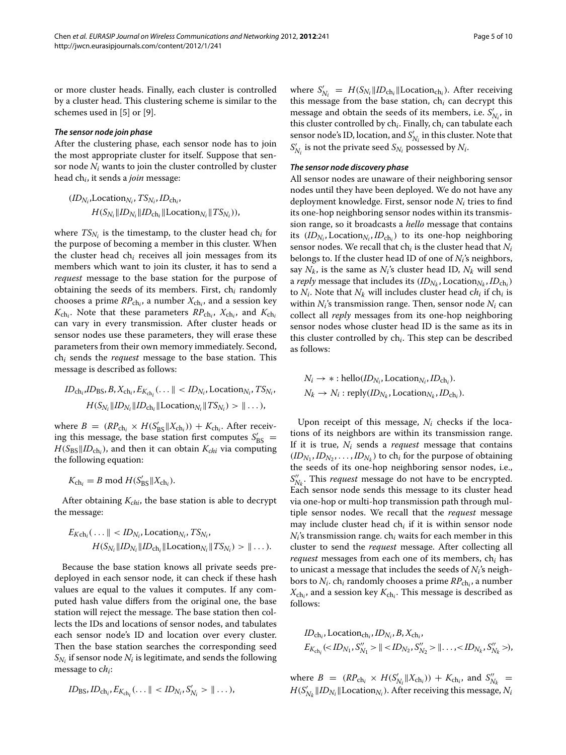or more cluster heads. Finally, each cluster is controlled by a cluster head. This clustering scheme is similar to the schemes used in [\[5\]](#page-9-16) or [\[9\]](#page-9-1).

#### *The sensor node join phase*

After the clustering phase, each sensor node has to join the most appropriate cluster for itself. Suppose that sensor node  $N_i$  wants to join the cluster controlled by cluster head ch*i*, it sends a *join* message:

$$
(ID_{N_i},\text{Location}_{N_i}, TS_{N_i}, ID_{\text{ch}_i},H(S_{N_i}||ID_{N_i}||ID_{\text{ch}_i}||Location_{N_i}||TS_{N_i})),
$$

where  $TS_{N_i}$  is the timestamp, to the cluster head ch<sub>i</sub> for the purpose of becoming a member in this cluster. When the cluster head ch*<sup>i</sup>* receives all join messages from its members which want to join its cluster, it has to send a *request* message to the base station for the purpose of obtaining the seeds of its members. First, ch*<sup>i</sup>* randomly chooses a prime  $RP_{\text{ch}_i}$ , a number  $X_{\text{ch}_i}$ , and a session key  $K_{\text{ch}_i}$ . Note that these parameters  $RP_{\text{ch}_i}$ ,  $X_{\text{ch}_i}$ , and  $K_{\text{ch}_i}$ can vary in every transmission. After cluster heads or sensor nodes use these parameters, they will erase these parameters from their own memory immediately. Second, ch*<sup>i</sup>* sends the *request* message to the base station. This message is described as follows:

$$
ID_{\text{ch}_i, I}ID_{\text{BS}}, B, X_{\text{ch}_i}, E_{K_{\text{ch}_i}}(\dots \parallel < ID_{N_i}, \text{Location}_{N_i}, TS_{N_i},
$$

$$
H(S_{N_i} \parallel ID_{N_i} \parallel ID_{\text{ch}_i} \parallel \text{Location}_{N_i} \parallel TS_{N_i}) > \parallel \dots),
$$

where  $B = (RP_{\text{ch}_i} \times H(S'_{\text{BS}} \| X_{\text{ch}_i})) + K_{\text{ch}_i}$ . After receiving this message, the base station first computes  $S'_{BS}$  =  $H(S_{BS}||ID_{ch_i})$ , and then it can obtain  $K_{chi}$  via computing the following equation:

$$
K_{\mathrm{ch}_i} = B \bmod H(S'_{\mathrm{BS}} \| X_{\mathrm{ch}_i}).
$$

After obtaining *Kchi*, the base station is able to decrypt the message:

$$
E_{Kch_i}(\ldots || < ID_{N_i}, \text{Location}_{N_i}, TS_{N_i},
$$
  

$$
H(S_{N_i} || ID_{N_i} || ID_{ch_i} || \text{Location}_{N_i} || TS_{N_i}) > || \ldots ).
$$

Because the base station knows all private seeds predeployed in each sensor node, it can check if these hash values are equal to the values it computes. If any computed hash value differs from the original one, the base station will reject the message. The base station then collects the IDs and locations of sensor nodes, and tabulates each sensor node's ID and location over every cluster. Then the base station searches the corresponding seed  $S_{N_i}$  if sensor node  $N_i$  is legitimate, and sends the following message to c*hi*:

$$
ID_{BS}, ID_{ch_i}, E_{K_{ch_i}}(\ldots || < ID_{N_i}, S'_{N_i} > || \ldots),
$$

where  $S'_{N_i} = H(S_{N_i} || ID_{\text{ch}_i} || Location_{\text{ch}_i})$ . After receiving this message from the base station, ch*<sup>i</sup>* can decrypt this message and obtain the seeds of its members, i.e.  $S'_{N_i}$ , in this cluster controlled by ch*i*. Finally, ch*<sup>i</sup>* can tabulate each sensor node's ID, location, and  $S'_{N_i}$  in this cluster. Note that  $\mathcal{S}'_{N_i}$  is not the private seed  $\mathcal{S}_{N_i}$  possessed by  $N_i$ .

#### *The sensor node discovery phase*

All sensor nodes are unaware of their neighboring sensor nodes until they have been deployed. We do not have any deployment knowledge. First, sensor node *Ni* tries to find its one-hop neighboring sensor nodes within its transmission range, so it broadcasts a *hello* message that contains its  $(ID_{N_i}, Location_{N_i}, ID_{ch_i})$  to its one-hop neighboring sensor nodes. We recall that ch*<sup>i</sup>* is the cluster head that *Ni* belongs to. If the cluster head ID of one of *Ni*'s neighbors, say  $N_k$ , is the same as  $N_i$ 's cluster head ID,  $N_k$  will send a *reply* message that includes its  $(ID_{N_k}, Location_{N_k}, ID_{\ch_i})$ to  $N_i$ . Note that  $N_k$  will includes cluster head c $h_i$  if ch<sub>i</sub> is within  $N_i$ 's transmission range. Then, sensor node  $N_i$  can collect all *reply* messages from its one-hop neighboring sensor nodes whose cluster head ID is the same as its in this cluster controlled by ch*i*. This step can be described as follows:

$$
N_i \rightarrow * : \text{hello}(ID_{N_i}, \text{Location}_{N_i}, ID_{\text{ch}_i}),
$$
  

$$
N_k \rightarrow N_i : \text{reply}(ID_{N_k}, \text{Location}_{N_k}, ID_{\text{ch}_i}).
$$

Upon receipt of this message,  $N_i$  checks if the locations of its neighbors are within its transmission range. If it is true, *Ni* sends a *request* message that contains  $(D_{N_1}, D_{N_2}, \ldots, D_{N_k})$  to ch<sub>*i*</sub> for the purpose of obtaining the seeds of its one-hop neighboring sensor nodes, i.e., *S*<sup>*N<sub>k</sub>*. This *request* message do not have to be encrypted.</sup> Each sensor node sends this message to its cluster head via one-hop or multi-hop transmission path through multiple sensor nodes. We recall that the *request* message may include cluster head ch*<sup>i</sup>* if it is within sensor node  $N_i$ 's transmission range.  $ch_i$  waits for each member in this cluster to send the *request* message. After collecting all *request* messages from each one of its members, ch*<sup>i</sup>* has to unicast a message that includes the seeds of *Ni*'s neighbors to  $N_i$ . ch $_i$  randomly chooses a prime  $RP_{\ch_i}$ , a number  $X_{\ch_{i^{\prime}}}$  and a session key  $K_{\ch_{i^{\prime}}}$ . This message is described as follows:

$$
ID_{\text{ch}_i}, \text{Location}_{\text{ch}_i}, ID_{N_i}, B, X_{\text{ch}_i},
$$
  

$$
E_{K_{\text{ch}_i}}( ||  || \dots, ),
$$

where  $B = (RP_{ch_i} \times H(S'_{N_i} || X_{ch_i})) + K_{ch_i}$ , and  $S''_{N_k} =$  $H(S'_{N_k} \| ID_{N_i} \| \text{Location}_{N_i})$ . After receiving this message,  $N_i$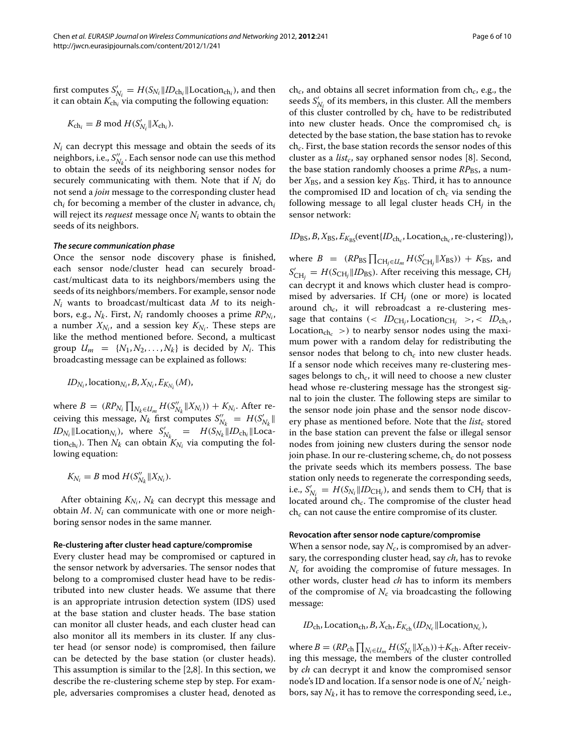first computes  $S'_{N_i} = H(S_{N_i} || ID_{ch_i} || Location_{ch_i})$ , and then it can obtain  $K<sub>ch<sub>i</sub></sub>$  via computing the following equation:

$$
K_{\mathrm{ch}_i} = B \bmod H(S'_{N_i} || X_{\mathrm{ch}_i}).
$$

*Ni* can decrypt this message and obtain the seeds of its neighbors, i.e., *S*<sup>*//<sub>N<sub>k</sub>*</sub>. Each sensor node can use this method</sup> to obtain the seeds of its neighboring sensor nodes for securely communicating with them. Note that if *Ni* do not send a *join* message to the corresponding cluster head ch*<sup>i</sup>* for becoming a member of the cluster in advance, ch*<sup>i</sup>* will reject its *request* message once *Ni* wants to obtain the seeds of its neighbors.

#### *The secure communication phase*

Once the sensor node discovery phase is finished, each sensor node/cluster head can securely broadcast/multicast data to its neighbors/members using the seeds of its neighbors/members. For example, sensor node *Ni* wants to broadcast/multicast data *M* to its neighbors, e.g.,  $N_k$ . First,  $N_i$  randomly chooses a prime  $RP_{N_i}$ , a number  $X_{N_i}$ , and a session key  $K_{N_i}$ . These steps are like the method mentioned before. Second, a multicast group  $U_m = \{N_1, N_2, \ldots, N_k\}$  is decided by  $N_i$ . This broadcasting message can be explained as follows:

 $ID_{N_i}$ , location $_{N_i}$ ,  $B$ ,  $X_{N_i}$ ,  $E_{K_{N_i}}(M)$ ,

 $W = (RP_{N_i} \prod_{N_k \in U_m} H(S''_{N_k} || X_{N_i})) + K_{N_i}$ . After receiving this message,  $N_k$  first computes  $S''_{N_k} = H(S'_{N_k} \|$  $ID_{N_i}$  ||Location<sub>*N<sub>i</sub>*</sub>), where  $S'_{N_k}$  =  $H(S_{N_k} || ID_{ch_i} || Loca-1)$ tion<sub>ch<sub>i</sub></sub>). Then  $N_k$  can obtain  $K_{N_i}$  via computing the following equation:

$$
K_{N_i} = B \bmod H(S''_{N_k} || X_{N_i}).
$$

After obtaining  $K_{N_i}$ ,  $N_k$  can decrypt this message and obtain *M*. *Ni* can communicate with one or more neighboring sensor nodes in the same manner.

#### **Re-clustering after cluster head capture/compromise**

Every cluster head may be compromised or captured in the sensor network by adversaries. The sensor nodes that belong to a compromised cluster head have to be redistributed into new cluster heads. We assume that there is an appropriate intrusion detection system (IDS) used at the base station and cluster heads. The base station can monitor all cluster heads, and each cluster head can also monitor all its members in its cluster. If any cluster head (or sensor node) is compromised, then failure can be detected by the base station (or cluster heads). This assumption is similar to the [\[2,](#page-8-4)[8\]](#page-9-0). In this section, we describe the re-clustering scheme step by step. For example, adversaries compromises a cluster head, denoted as ch*c*, and obtains all secret information from ch*c*, e.g., the seeds  $S'_{N_i}$  of its members, in this cluster. All the members of this cluster controlled by ch*<sup>c</sup>* have to be redistributed into new cluster heads. Once the compromised ch*<sup>c</sup>* is detected by the base station, the base station has to revoke ch*c*. First, the base station records the sensor nodes of this cluster as a *list<sub>c</sub>*, say orphaned sensor nodes [\[8\]](#page-9-0). Second, the base station randomly chooses a prime *RP*<sub>BS</sub>, a number  $X_{BS}$ , and a session key  $K_{BS}$ . Third, it has to announce the compromised ID and location of ch*<sup>c</sup>* via sending the following message to all legal cluster heads CH*<sup>j</sup>* in the sensor network:

 $ID_{BS}$ ,  $B$ ,  $X_{BS}$ ,  $E_{K_{BS}}$ (event $\{ID_{ch,c}$ , Location<sub>chc</sub>, re-clustering}),

 $W$  where  $B = (RP_{BS} \prod_{C H_j \in U_m} H(S'_{CH_j} | X_{BS})) + K_{BS}$ , and  $S_{\text{CH}_j}^{\prime} = H(S_{\text{CH}_j} \| I\!D_{\text{BS}})$ . After receiving this message, CH<sub>*j*</sub> can decrypt it and knows which cluster head is compromised by adversaries. If CH*<sup>j</sup>* (one or more) is located around ch*c*, it will rebroadcast a re-clustering message that contains  $\left\langle \right. < I D_{\text{CH}_i}$ , Location<sub>CH<sub>*i*</sub></sub>  $\right.$  >,  $\left. < I D_{\text{ch}_i} \right\rangle$ , Location<sub>ch<sub>c</sub> >)</sub> to nearby sensor nodes using the maximum power with a random delay for redistributing the sensor nodes that belong to ch*<sup>c</sup>* into new cluster heads. If a sensor node which receives many re-clustering messages belongs to ch*c*, it will need to choose a new cluster head whose re-clustering message has the strongest signal to join the cluster. The following steps are similar to the sensor node join phase and the sensor node discovery phase as mentioned before. Note that the *list<sub>c</sub>* stored in the base station can prevent the false or illegal sensor nodes from joining new clusters during the sensor node join phase. In our re-clustering scheme, ch*<sup>c</sup>* do not possess the private seeds which its members possess. The base station only needs to regenerate the corresponding seeds, i.e.,  $S'_{N_i} = H(S_{N_i} || ID_{CH_j})$ , and sends them to CH<sub>j</sub> that is located around ch*c*. The compromise of the cluster head ch*<sup>c</sup>* can not cause the entire compromise of its cluster.

#### **Revocation after sensor node capture/compromise**

When a sensor node, say *N<sub>c*</sub>, is compromised by an adversary, the corresponding cluster head, say *ch*, has to revoke *Nc* for avoiding the compromise of future messages. In other words, cluster head *ch* has to inform its members of the compromise of  $N_c$  via broadcasting the following message:

 $ID_{\text{ch}}$ , Location<sub>ch</sub>, *B*,  $X_{\text{ch}}$ ,  $E_{K_{\text{ch}}}$  *(ID<sub>Nc</sub>* || Location<sub>Nc</sub>),

 $W$ here  $B = (RP_{ch} \prod_{N_i \in U_m} H(S'_{N_i} \| X_{ch})) + K_{ch}$ . After receiving this message, the members of the cluster controlled by *ch* can decrypt it and know the compromised sensor node's ID and location. If a sensor node is one of *Nc*' neighbors, say  $N_k$ , it has to remove the corresponding seed, i.e.,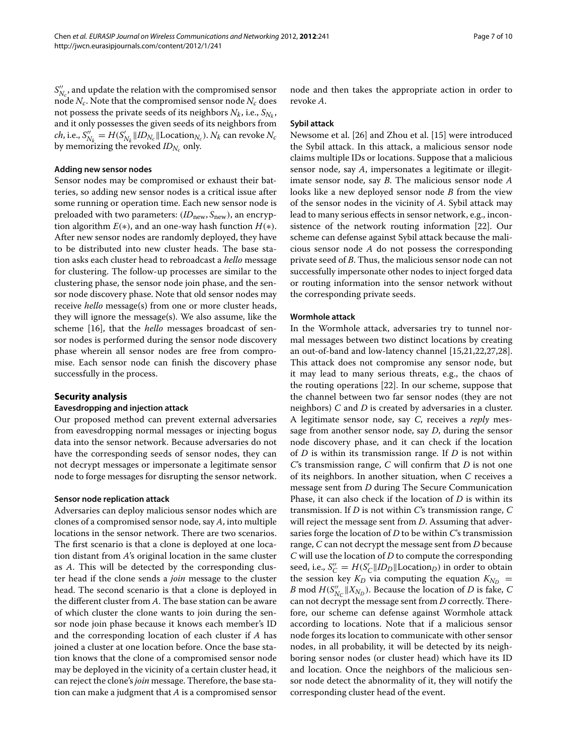$\mathcal{S}_{N_c}''$  , and update the relation with the compromised sensor node  $N_c$ . Note that the compromised sensor node  $N_c$  does not possess the private seeds of its neighbors  $N_k$ , i.e.,  $S_{N_k}$ , and it only possesses the given seeds of its neighbors from  $ch$ , i.e.,  $S_{N_k}^{\prime\prime}=H(S_{N_k}^{\prime} \| ID_{N_c} \| Location_{N_c}).$   $N_k$  can revoke  $N_c$ by memorizing the revoked *ID<sub>N<sub>c</sub>*</sub> only.

#### **Adding new sensor nodes**

Sensor nodes may be compromised or exhaust their batteries, so adding new sensor nodes is a critical issue after some running or operation time. Each new sensor node is preloaded with two parameters: *(ID*new, *S*new*)*, an encryption algorithm  $E(*)$ , and an one-way hash function  $H(*)$ . After new sensor nodes are randomly deployed, they have to be distributed into new cluster heads. The base station asks each cluster head to rebroadcast a *hello* message for clustering. The follow-up processes are similar to the clustering phase, the sensor node join phase, and the sensor node discovery phase. Note that old sensor nodes may receive *hello* message(s) from one or more cluster heads, they will ignore the message(s). We also assume, like the scheme [\[16\]](#page-9-9), that the *hello* messages broadcast of sensor nodes is performed during the sensor node discovery phase wherein all sensor nodes are free from compromise. Each sensor node can finish the discovery phase successfully in the process.

#### **Security analysis**

#### **Eavesdropping and injection attack**

Our proposed method can prevent external adversaries from eavesdropping normal messages or injecting bogus data into the sensor network. Because adversaries do not have the corresponding seeds of sensor nodes, they can not decrypt messages or impersonate a legitimate sensor node to forge messages for disrupting the sensor network.

#### **Sensor node replication attack**

Adversaries can deploy malicious sensor nodes which are clones of a compromised sensor node, say *A*, into multiple locations in the sensor network. There are two scenarios. The first scenario is that a clone is deployed at one location distant from *A*'s original location in the same cluster as *A*. This will be detected by the corresponding cluster head if the clone sends a *join* message to the cluster head. The second scenario is that a clone is deployed in the different cluster from *A*. The base station can be aware of which cluster the clone wants to join during the sensor node join phase because it knows each member's ID and the corresponding location of each cluster if *A* has joined a cluster at one location before. Once the base station knows that the clone of a compromised sensor node may be deployed in the vicinity of a certain cluster head, it can reject the clone's*join* message. Therefore, the base station can make a judgment that *A* is a compromised sensor node and then takes the appropriate action in order to revoke *A*.

#### **Sybil attack**

Newsome et al. [\[26\]](#page-9-21) and Zhou et al. [\[15\]](#page-9-8) were introduced the Sybil attack. In this attack, a malicious sensor node claims multiple IDs or locations. Suppose that a malicious sensor node, say *A*, impersonates a legitimate or illegitimate sensor node, say *B*. The malicious sensor node *A* looks like a new deployed sensor node *B* from the view of the sensor nodes in the vicinity of *A*. Sybil attack may lead to many serious effects in sensor network, e.g., inconsistence of the network routing information [\[22\]](#page-9-15). Our scheme can defense against Sybil attack because the malicious sensor node *A* do not possess the corresponding private seed of *B*. Thus, the malicious sensor node can not successfully impersonate other nodes to inject forged data or routing information into the sensor network without the corresponding private seeds.

#### **Wormhole attack**

In the Wormhole attack, adversaries try to tunnel normal messages between two distinct locations by creating an out-of-band and low-latency channel [\[15,](#page-9-8)[21,](#page-9-14)[22,](#page-9-15)[27,](#page-9-22)[28\]](#page-9-23). This attack does not compromise any sensor node, but it may lead to many serious threats, e.g., the chaos of the routing operations [\[22\]](#page-9-15). In our scheme, suppose that the channel between two far sensor nodes (they are not neighbors) *C* and *D* is created by adversaries in a cluster. A legitimate sensor node, say *C*, receives a *reply* message from another sensor node, say *D*, during the sensor node discovery phase, and it can check if the location of *D* is within its transmission range. If *D* is not within *C*'s transmission range, *C* will confirm that *D* is not one of its neighbors. In another situation, when *C* receives a message sent from *D* during The Secure Communication Phase, it can also check if the location of *D* is within its transmission. If *D* is not within *C*'s transmission range, *C* will reject the message sent from *D*. Assuming that adversaries forge the location of *D* to be within *C*'s transmission range, *C* can not decrypt the message sent from *D* because *C* will use the location of *D* to compute the corresponding seed, i.e.,  $S_C'' = H(S_C'||ID_D||\text{Location}_D)$  in order to obtain the session key  $K_D$  via computing the equation  $K_{N_D}$  = *B* mod  $H(S''_{N_C} || X_{N_D})$ . Because the location of *D* is fake, *C* can not decrypt the message sent from *D* correctly. Therefore, our scheme can defense against Wormhole attack according to locations. Note that if a malicious sensor node forges its location to communicate with other sensor nodes, in all probability, it will be detected by its neighboring sensor nodes (or cluster head) which have its ID and location. Once the neighbors of the malicious sensor node detect the abnormality of it, they will notify the corresponding cluster head of the event.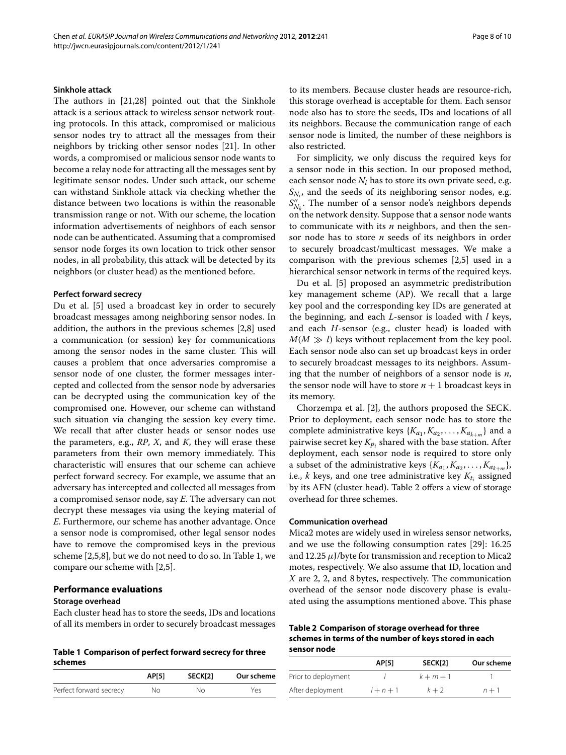#### **Sinkhole attack**

The authors in [\[21,](#page-9-14)[28\]](#page-9-23) pointed out that the Sinkhole attack is a serious attack to wireless sensor network routing protocols. In this attack, compromised or malicious sensor nodes try to attract all the messages from their neighbors by tricking other sensor nodes [\[21\]](#page-9-14). In other words, a compromised or malicious sensor node wants to become a relay node for attracting all the messages sent by legitimate sensor nodes. Under such attack, our scheme can withstand Sinkhole attack via checking whether the distance between two locations is within the reasonable transmission range or not. With our scheme, the location information advertisements of neighbors of each sensor node can be authenticated. Assuming that a compromised sensor node forges its own location to trick other sensor nodes, in all probability, this attack will be detected by its neighbors (or cluster head) as the mentioned before.

#### **Perfect forward secrecy**

Du et al. [\[5\]](#page-9-16) used a broadcast key in order to securely broadcast messages among neighboring sensor nodes. In addition, the authors in the previous schemes [\[2](#page-8-4)[,8\]](#page-9-0) used a communication (or session) key for communications among the sensor nodes in the same cluster. This will causes a problem that once adversaries compromise a sensor node of one cluster, the former messages intercepted and collected from the sensor node by adversaries can be decrypted using the communication key of the compromised one. However, our scheme can withstand such situation via changing the session key every time. We recall that after cluster heads or sensor nodes use the parameters, e.g., *RP*, *X*, and *K*, they will erase these parameters from their own memory immediately. This characteristic will ensures that our scheme can achieve perfect forward secrecy. For example, we assume that an adversary has intercepted and collected all messages from a compromised sensor node, say *E*. The adversary can not decrypt these messages via using the keying material of *E*. Furthermore, our scheme has another advantage. Once a sensor node is compromised, other legal sensor nodes have to remove the compromised keys in the previous scheme [\[2](#page-8-4)[,5](#page-9-16)[,8\]](#page-9-0), but we do not need to do so. In Table [1,](#page-7-1) we compare our scheme with [\[2,](#page-8-4)[5\]](#page-9-16).

#### <span id="page-7-0"></span>**Performance evaluations**

#### **Storage overhead**

Each cluster head has to store the seeds, IDs and locations of all its members in order to securely broadcast messages

<span id="page-7-1"></span>**Table 1 Comparison of perfect forward secrecy for three schemes**

|                         | AP[5] | SECK[2] | Our scheme |
|-------------------------|-------|---------|------------|
| Perfect forward secrecy | Nο    | Nο      | Yρς        |

to its members. Because cluster heads are resource-rich, this storage overhead is acceptable for them. Each sensor node also has to store the seeds, IDs and locations of all its neighbors. Because the communication range of each sensor node is limited, the number of these neighbors is also restricted.

For simplicity, we only discuss the required keys for a sensor node in this section. In our proposed method, each sensor node *Ni* has to store its own private seed, e.g.  $S_{N_i}$ , and the seeds of its neighboring sensor nodes, e.g.  $S''_{N_k}$ . The number of a sensor node's neighbors depends on the network density. Suppose that a sensor node wants to communicate with its *n* neighbors, and then the sensor node has to store *n* seeds of its neighbors in order to securely broadcast/multicast messages. We make a comparison with the previous schemes [\[2](#page-8-4)[,5\]](#page-9-16) used in a hierarchical sensor network in terms of the required keys.

Du et al. [\[5\]](#page-9-16) proposed an asymmetric predistribution key management scheme (AP). We recall that a large key pool and the corresponding key IDs are generated at the beginning, and each *L*-sensor is loaded with *l* keys, and each *H*-sensor (e.g., cluster head) is loaded with  $M(M \gg l)$  keys without replacement from the key pool. Each sensor node also can set up broadcast keys in order to securely broadcast messages to its neighbors. Assuming that the number of neighbors of a sensor node is *n*, the sensor node will have to store  $n + 1$  broadcast keys in its memory.

Chorzempa et al. [\[2\]](#page-8-4), the authors proposed the SECK. Prior to deployment, each sensor node has to store the complete administrative keys  $\{K_{a_1}, K_{a_2}, \ldots, K_{a_{k+m}}\}$  and a pairwise secret key  $K_{p_i}$  shared with the base station. After deployment, each sensor node is required to store only a subset of the administrative keys  $\{K_{a_1}, K_{a_2}, \ldots, K_{a_{k+m}}\}$ , i.e.,  $k$  keys, and one tree administrative key  $K_{t_i}$  assigned by its AFN (cluster head). Table [2](#page-7-2) offers a view of storage overhead for three schemes.

#### **Communication overhead**

Mica2 motes are widely used in wireless sensor networks, and we use the following consumption rates [\[29\]](#page-9-24): 16.25 and  $12.25 \mu$ J/byte for transmission and reception to Mica2 motes, respectively. We also assume that ID, location and *X* are 2, 2, and 8 bytes, respectively. The communication overhead of the sensor node discovery phase is evaluated using the assumptions mentioned above. This phase

### <span id="page-7-2"></span>**Table 2 Comparison of storage overhead for three schemes in terms of the number of keys stored in each sensor node**

|                     | API51       | SECK[2]     | Our scheme |
|---------------------|-------------|-------------|------------|
| Prior to deployment |             | $k + m + 1$ |            |
| After deployment    | $1 + n + 1$ | $k+2$       | $n+1$      |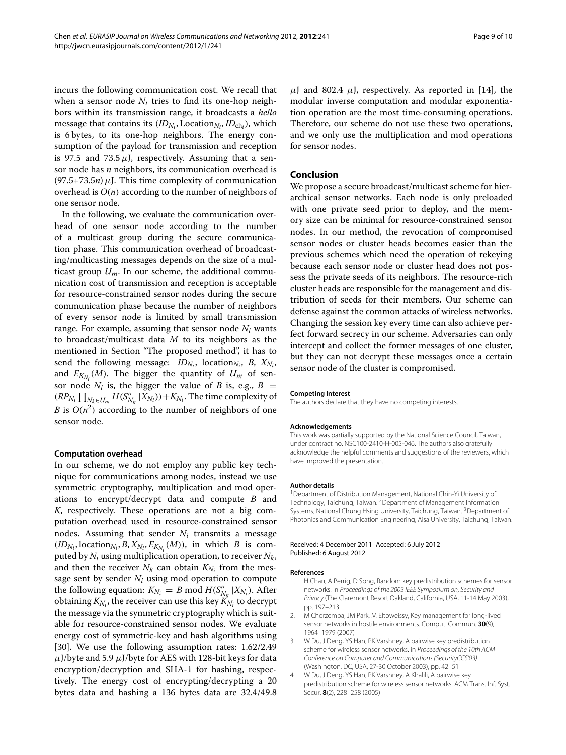incurs the following communication cost. We recall that when a sensor node  $N_i$  tries to find its one-hop neighbors within its transmission range, it broadcasts a *hello* message that contains its  $(ID_{N_i}, Location_{N_i}, ID_{ch_i})$ , which is 6 bytes, to its one-hop neighbors. The energy consumption of the payload for transmission and reception is 97.5 and 73.5  $\mu$ J, respectively. Assuming that a sensor node has *n* neighbors, its communication overhead is  $(97.5+73.5n)$   $\mu$ J. This time complexity of communication overhead is *O(n)* according to the number of neighbors of one sensor node.

In the following, we evaluate the communication overhead of one sensor node according to the number of a multicast group during the secure communication phase. This communication overhead of broadcasting/multicasting messages depends on the size of a multicast group  $U_m$ . In our scheme, the additional communication cost of transmission and reception is acceptable for resource-constrained sensor nodes during the secure communication phase because the number of neighbors of every sensor node is limited by small transmission range. For example, assuming that sensor node *Ni* wants to broadcast/multicast data *M* to its neighbors as the mentioned in Section ["The proposed method"](#page-3-0), it has to send the following message:  $ID_{N_i}$ , location<sub>N<sub>i</sub></sub>, B, X<sub>N<sub>i</sub></sub>, and  $E_{K_{N_i}}(M)$ . The bigger the quantity of  $U_m$  of sensor node  $N_i$  is, the bigger the value of *B* is, e.g.,  $B =$  $(RP_{N_i} \prod_{N_k \in U_m} H(S_{N_k}'' | X_{N_i})) + K_{N_i}$ . The time complexity of *B* is  $O(n^2)$  according to the number of neighbors of one sensor node.

#### **Computation overhead**

In our scheme, we do not employ any public key technique for communications among nodes, instead we use symmetric cryptography, multiplication and mod operations to encrypt/decrypt data and compute *B* and *K*, respectively. These operations are not a big computation overhead used in resource-constrained sensor nodes. Assuming that sender *Ni* transmits a message  $(ID_{N_i}, location_{N_i}, B, X_{N_i}, E_{K_{N_i}}(M))$ , in which *B* is computed by  $N_i$  using multiplication operation, to receiver  $N_k$ , and then the receiver  $N_k$  can obtain  $K_{N_i}$  from the message sent by sender  $N_i$  using mod operation to compute the following equation:  $K_{N_i} = B \text{ mod } H(S''_{N_k} || X_{N_i})$ . After obtaining  $K_{N_i}$ , the receiver can use this key  $K_{N_i}$  to decrypt the message via the symmetric cryptography which is suitable for resource-constrained sensor nodes. We evaluate energy cost of symmetric-key and hash algorithms using [\[30\]](#page-9-25). We use the following assumption rates: 1.62/2.49  $\mu$ J/byte and 5.9  $\mu$ J/byte for AES with 128-bit keys for data encryption/decryption and SHA-1 for hashing, respectively. The energy cost of encrypting/decrypting a 20 bytes data and hashing a 136 bytes data are 32.4/49.8  $μ$ J and 802.4  $μ$ J, respectively. As reported in [\[14\]](#page-9-7), the modular inverse computation and modular exponentiation operation are the most time-consuming operations. Therefore, our scheme do not use these two operations, and we only use the multiplication and mod operations for sensor nodes.

#### <span id="page-8-1"></span>**Conclusion**

We propose a secure broadcast/multicast scheme for hierarchical sensor networks. Each node is only preloaded with one private seed prior to deploy, and the memory size can be minimal for resource-constrained sensor nodes. In our method, the revocation of compromised sensor nodes or cluster heads becomes easier than the previous schemes which need the operation of rekeying because each sensor node or cluster head does not possess the private seeds of its neighbors. The resource-rich cluster heads are responsible for the management and distribution of seeds for their members. Our scheme can defense against the common attacks of wireless networks. Changing the session key every time can also achieve perfect forward secrecy in our scheme. Adversaries can only intercept and collect the former messages of one cluster, but they can not decrypt these messages once a certain sensor node of the cluster is compromised.

#### **Competing Interest**

The authors declare that they have no competing interests.

#### **Acknowledgements**

This work was partially supported by the National Science Council, Taiwan, under contract no. NSC100-2410-H-005-046. The authors also gratefully acknowledge the helpful comments and suggestions of the reviewers, which have improved the presentation.

#### **Author details**

<sup>1</sup> Department of Distribution Management, National Chin-Yi University of Technology, Taichung, Taiwan. <sup>2</sup> Department of Management Information Systems, National Chung Hsing University, Taichung, Taiwan. 3Department of Photonics and Communication Engineering, Aisa University, Taichung, Taiwan.

#### Received: 4 December 2011 Accepted: 6 July 2012 Published: 6 August 2012

#### **References**

- <span id="page-8-0"></span>1. H Chan, A Perrig, D Song, Random key predistribution schemes for sensor networks. in Proceedings of the 2003 IEEE Symposium on, Security and Privacy (The Claremont Resort Oakland, California, USA, 11-14 May 2003), pp. 197–213
- <span id="page-8-4"></span>2. M Chorzempa, JM Park, M Eltoweissy, Key management for long-lived sensor networks in hostile environments. Comput. Commun. **30**(9), 1964–1979 (2007)
- <span id="page-8-2"></span>3. W Du, J Deng, YS Han, PK Varshney, A pairwise key predistribution scheme for wireless sensor networks. in Proceedings of the 10th ACM Conference on Computer and Communications (SecurityCCS'03) (Washington, DC, USA, 27-30 October 2003), pp. 42–51
- <span id="page-8-3"></span>4. W Du, J Deng, YS Han, PK Varshney, A Khalili, A pairwise key predistribution scheme for wireless sensor networks. ACM Trans. Inf. Syst. Secur. **8**(2), 228–258 (2005)